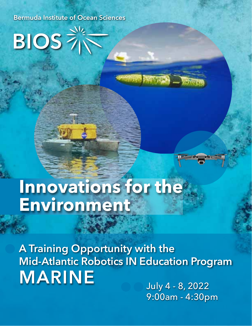Bermuda Institute of Ocean Sciences

 $\overline{\text{B}}$   $\overline{\text{D}}$   $\overline{\text{D}}$   $\overline{\text{D}}$   $\overline{\text{D}}$   $\overline{\text{D}}$   $\overline{\text{D}}$   $\overline{\text{D}}$   $\overline{\text{D}}$   $\overline{\text{D}}$   $\overline{\text{D}}$   $\overline{\text{D}}$   $\overline{\text{D}}$   $\overline{\text{D}}$   $\overline{\text{D}}$   $\overline{\text{D}}$   $\overline{\text{D}}$   $\overline{\text{D}}$   $\overline{\text{D}}$   $\overline{\text{D}}$ 

## **Innovations for the Environment**

July 4 - 8, 2022 A Training Opportunity with the Mid-Atlantic Robotics IN Education Program MARINE

9:00am - 4:30pm